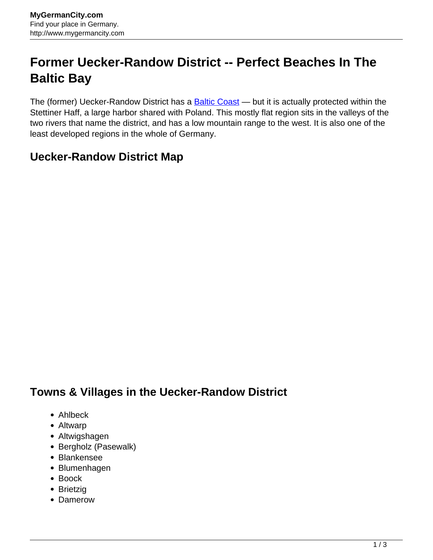## **Former Uecker-Randow District -- Perfect Beaches In The Baltic Bay**

The (former) Uecker-Randow District has a **Baltic Coast** — but it is actually protected within the Stettiner Haff, a large harbor shared with Poland. This mostly flat region sits in the valleys of the two rivers that name the district, and has a low mountain range to the west. It is also one of the least developed regions in the whole of Germany.

## **Uecker-Randow District Map**

## **Towns & Villages in the Uecker-Randow District**

- Ahlbeck
- Altwarp
- Altwigshagen
- Bergholz (Pasewalk)
- Blankensee
- Blumenhagen
- Boock
- Brietzig
- Damerow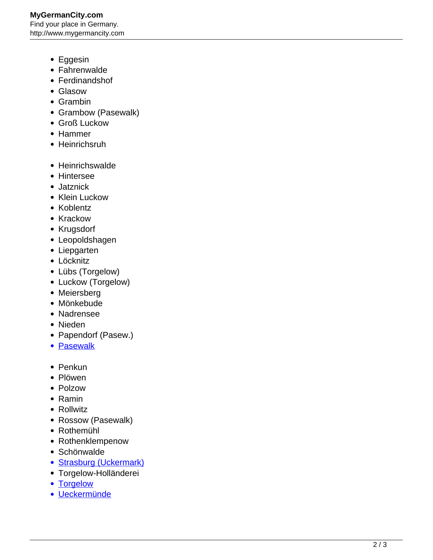## **MyGermanCity.com** Find your place in Germany. http://www.mygermancity.com

- Eggesin
- Fahrenwalde
- Ferdinandshof
- Glasow
- Grambin
- Grambow (Pasewalk)
- Groß Luckow
- Hammer
- Heinrichsruh
- Heinrichswalde
- Hintersee
- Jatznick
- Klein Luckow
- Koblentz
- Krackow
- Krugsdorf
- Leopoldshagen
- Liepgarten
- Löcknitz
- Lübs (Torgelow)
- Luckow (Torgelow)
- Meiersberg
- Mönkebude
- Nadrensee
- Nieden
- Papendorf (Pasew.)
- [Pasewalk](http://www.mygermancity.com/pasewalk)
- Penkun
- Plöwen
- Polzow
- Ramin
- Rollwitz
- Rossow (Pasewalk)
- Rothemühl
- Rothenklempenow
- Schönwalde
- [Strasburg \(Uckermark\)](http://www.mygermancity.com/strasburg-uckermark)
- Torgelow-Holländerei
- [Torgelow](http://www.mygermancity.com/torgelow)
- [Ueckermünde](http://www.mygermancity.com/ueckermuende)